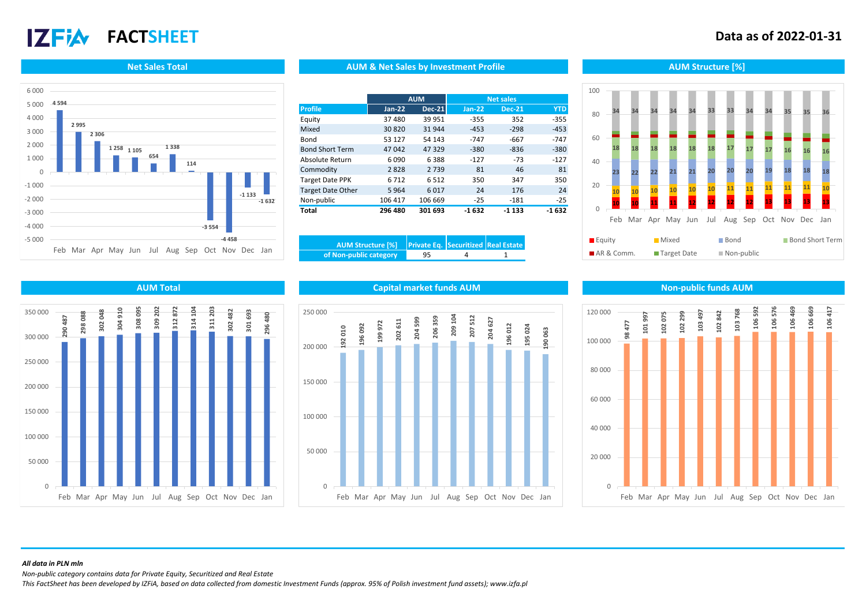# **17 FIA**

## **FACTSHEET Data as of 2022-01-31**



#### **Net Sales Total AUM Structure [%]** AUM AUM & Net Sales by Investment Profile Aument Aum Structure [%]

|                          | <b>AUM</b> |               | <b>Net sales</b> |               |            |
|--------------------------|------------|---------------|------------------|---------------|------------|
| <b>Profile</b>           | $Jan-22$   | <b>Dec-21</b> | $Jan-22$         | <b>Dec-21</b> | <b>YTD</b> |
| Equity                   | 37 480     | 39 951        | $-355$           | 352           | $-355$     |
| Mixed                    | 30 8 20    | 31944         | $-453$           | $-298$        | $-453$     |
| Bond                     | 53 127     | 54 143        | $-747$           | -667          | $-747$     |
| <b>Bond Short Term</b>   | 47042      | 47329         | $-380$           | $-836$        | $-380$     |
| Absolute Return          | 6090       | 6388          | $-127$           | $-73$         | $-127$     |
| Commodity                | 2828       | 2739          | 81               | 46            | 81         |
| <b>Target Date PPK</b>   | 6712       | 6512          | 350              | 347           | 350        |
| <b>Target Date Other</b> | 5964       | 6017          | 24               | 176           | 24         |
| Non-public               | 106 417    | 106 669       | $-25$            | $-181$        | $-25$      |
| Total                    | 296 480    | 301 693       | $-1632$          | $-1133$       | $-1632$    |

| AUM Structure [%]  Private Eq. Securitized Real Estate |    |  |
|--------------------------------------------------------|----|--|
| of Non-public category                                 | 95 |  |

### **10 10 11 11 12 12 12 12 13 13 13 13 <sup>10</sup> <sup>10</sup> <sup>10</sup> <sup>10</sup> <sup>10</sup> <sup>10</sup> <sup>11</sup> <sup>11</sup> <sup>11</sup> <sup>11</sup> <sup>11</sup> <sup>10</sup> 23 22 22 21 21 20 20 20 19 18 18 18 <sup>18</sup> <sup>18</sup> <sup>18</sup> <sup>18</sup> <sup>18</sup> <sup>18</sup> <sup>17</sup> <sup>17</sup> <sup>17</sup> <sup>16</sup> <sup>16</sup> <sup>16</sup> 34 34 34 34 34 33 33 34 34 35 35 36**  $\Omega$ 20 40 60 80 100 Feb Mar Apr May Jun Jul Aug Sep Oct Nov Dec Jan

| $\blacksquare$ Equity            | ■ Mixed       | ■ Bond                    | <b>Bond Short Term</b> |
|----------------------------------|---------------|---------------------------|------------------------|
| $A \mathsf{R} \& \mathsf{Comm}.$ | ■ Target Date | $\blacksquare$ Non-public |                        |



#### **AUM Total Capital market funds AUM Non-public funds AUM**





#### *All data in PLN mln*

*Non-public category contains data for Private Equity, Securitized and Real Estate*

*This FactSheet has been developed by IZFiA, based on data collected from domestic Investment Funds (approx. 95% of Polish investment fund assets); www.izfa.pl*